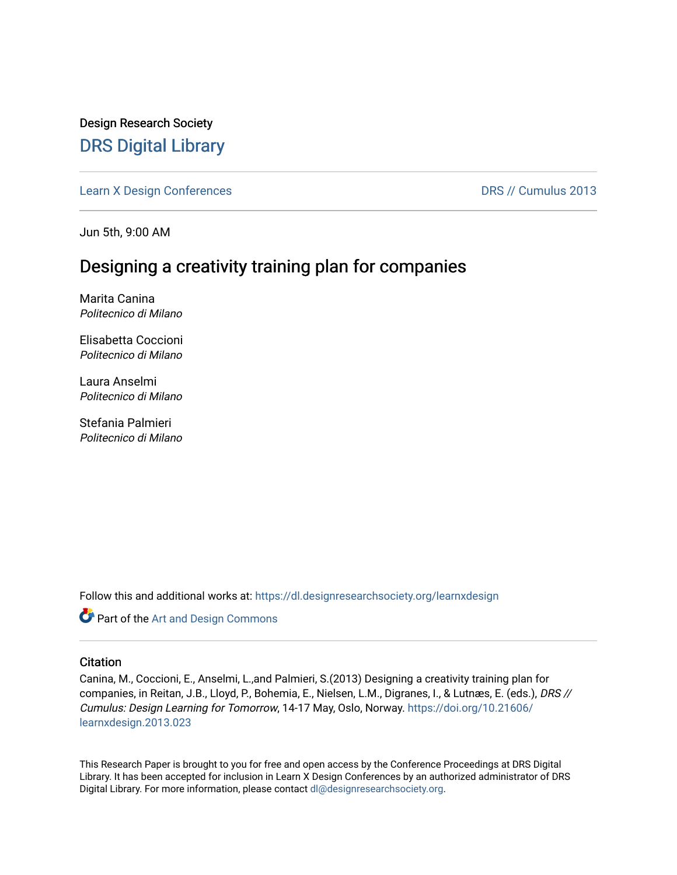Design Research Society [DRS Digital Library](https://dl.designresearchsociety.org/)

[Learn X Design Conferences](https://dl.designresearchsociety.org/learnxdesign) [DRS // Cumulus 2013](https://dl.designresearchsociety.org/learnxdesign/learnxdesign2013) 

Jun 5th, 9:00 AM

## Designing a creativity training plan for companies

Marita Canina Politecnico di Milano

Elisabetta Coccioni Politecnico di Milano

Laura Anselmi Politecnico di Milano

Stefania Palmieri Politecnico di Milano

Follow this and additional works at: [https://dl.designresearchsociety.org/learnxdesign](https://dl.designresearchsociety.org/learnxdesign?utm_source=dl.designresearchsociety.org%2Flearnxdesign%2Flearnxdesign2013%2Fresearchpapers%2F23&utm_medium=PDF&utm_campaign=PDFCoverPages)

Part of the [Art and Design Commons](http://network.bepress.com/hgg/discipline/1049?utm_source=dl.designresearchsociety.org%2Flearnxdesign%2Flearnxdesign2013%2Fresearchpapers%2F23&utm_medium=PDF&utm_campaign=PDFCoverPages)

### **Citation**

Canina, M., Coccioni, E., Anselmi, L.,and Palmieri, S.(2013) Designing a creativity training plan for companies, in Reitan, J.B., Lloyd, P., Bohemia, E., Nielsen, L.M., Digranes, I., & Lutnæs, E. (eds.), DRS // Cumulus: Design Learning for Tomorrow, 14-17 May, Oslo, Norway. [https://doi.org/10.21606/](https://doi.org/10.21606/learnxdesign.2013.023) [learnxdesign.2013.023](https://doi.org/10.21606/learnxdesign.2013.023)

This Research Paper is brought to you for free and open access by the Conference Proceedings at DRS Digital Library. It has been accepted for inclusion in Learn X Design Conferences by an authorized administrator of DRS Digital Library. For more information, please contact [dl@designresearchsociety.org](mailto:dl@designresearchsociety.org).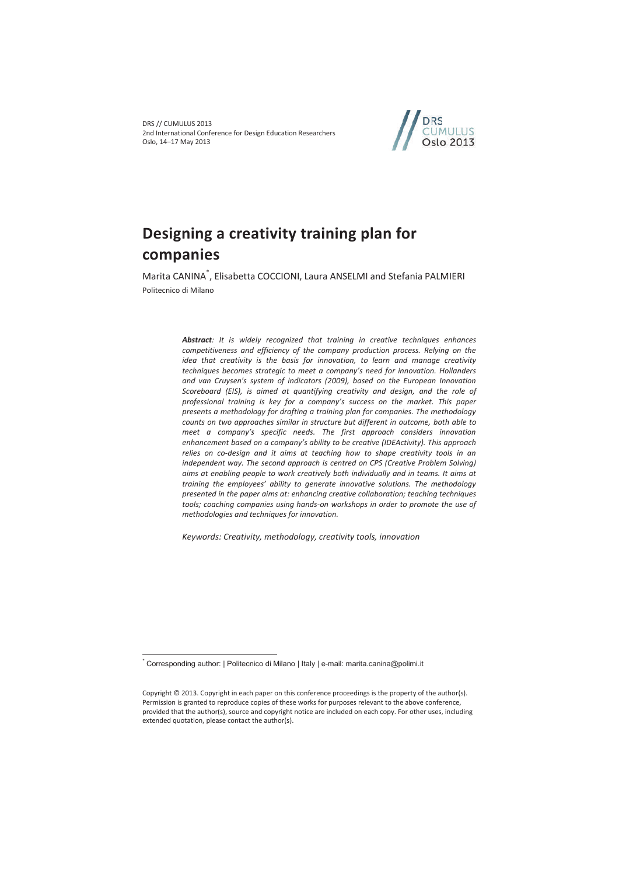

# **Designing a creativity training plan for companies**

Marita CANINA\* , Elisabetta COCCIONI, Laura ANSELMI and Stefania PALMIERI Politecnico di Milano

> Abstract: It is widely recognized that training in creative techniques enhances *competitiveness and efficiency of the company production process. Relying on the idea that creativity is the basis for innovation, to learn and manage creativity techniques becomes strategic to meet a company's need for innovation. Hollanders and van Cruysen's system of indicators (2009), based on the European Innovation Scoreboard (EIS), is aimed at quantifying creativity and design, and the role of professional training is key for a company's success on the market. This paper presents a methodology for drafting a training plan for companies. The methodology counts on two approaches similar in structure but different in outcome, both able to meet a company's specific needs. The first approach considers innovation enhancement based on a company's ability to be creative (IDEActivity). This approach relies on co-design and it aims at teaching how to shape creativity tools in an independent way. The second approach is centred on CPS (Creative Problem Solving) aims at enabling people to work creatively both individually and in teams. It aims at training the employees' ability to generate innovative solutions. The methodology presented in the paper aims at: enhancing creative collaboration; teaching techniques*  tools; coaching companies using hands-on workshops in order to promote the use of *methodologies and techniques for innovation.*

*Keywords: Creativity, methodology, creativity tools, innovation* 

 $\overline{a}$ 

<sup>\*</sup> Corresponding author: | Politecnico di Milano | Italy | e-mail: marita.canina@polimi.it

Copyright © 2013. Copyright in each paper on this conference proceedings is the property of the author(s). Permission is granted to reproduce copies of these works for purposes relevant to the above conference, provided that the author(s), source and copyright notice are included on each copy. For other uses, including extended quotation, please contact the author(s).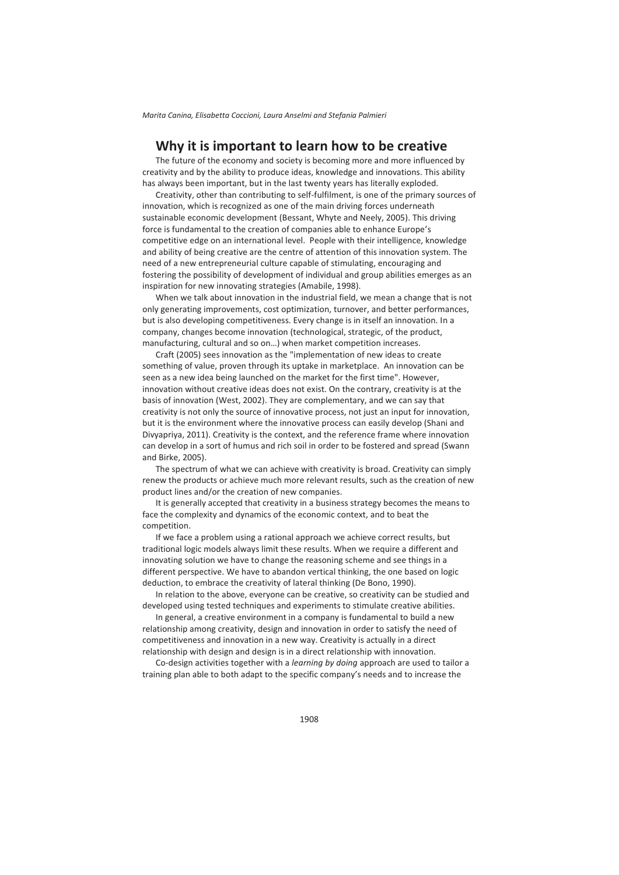## **Why it is important to learn how to be creative**

The future of the economy and society is becoming more and more influenced by creativity and by the ability to produce ideas, knowledge and innovations. This ability has always been important, but in the last twenty years has literally exploded.

Creativity, other than contributing to self-fulfilment, is one of the primary sources of innovation, which is recognized as one of the main driving forces underneath sustainable economic development (Bessant, Whyte and Neely, 2005). This driving force is fundamental to the creation of companies able to enhance Europe's competitive edge on an international level. People with their intelligence, knowledge and ability of being creative are the centre of attention of this innovation system. The need of a new entrepreneurial culture capable of stimulating, encouraging and fostering the possibility of development of individual and group abilities emerges as an inspiration for new innovating strategies (Amabile, 1998).

When we talk about innovation in the industrial field, we mean a change that is not only generating improvements, cost optimization, turnover, and better performances, but is also developing competitiveness. Every change is in itself an innovation. In a company, changes become innovation (technological, strategic, of the product, manufacturing, cultural and so on…) when market competition increases.

Craft (2005) sees innovation as the "implementation of new ideas to create something of value, proven through its uptake in marketplace. An innovation can be seen as a new idea being launched on the market for the first time". However, innovation without creative ideas does not exist. On the contrary, creativity is at the basis of innovation (West, 2002). They are complementary, and we can say that creativity is not only the source of innovative process, not just an input for innovation, but it is the environment where the innovative process can easily develop (Shani and Divyapriya, 2011). Creativity is the context, and the reference frame where innovation can develop in a sort of humus and rich soil in order to be fostered and spread (Swann and Birke, 2005).

The spectrum of what we can achieve with creativity is broad. Creativity can simply renew the products or achieve much more relevant results, such as the creation of new product lines and/or the creation of new companies.

It is generally accepted that creativity in a business strategy becomes the means to face the complexity and dynamics of the economic context, and to beat the competition.

If we face a problem using a rational approach we achieve correct results, but traditional logic models always limit these results. When we require a different and innovating solution we have to change the reasoning scheme and see things in a different perspective. We have to abandon vertical thinking, the one based on logic deduction, to embrace the creativity of lateral thinking (De Bono, 1990).

In relation to the above, everyone can be creative, so creativity can be studied and developed using tested techniques and experiments to stimulate creative abilities.

In general, a creative environment in a company is fundamental to build a new relationship among creativity, design and innovation in order to satisfy the need of competitiveness and innovation in a new way. Creativity is actually in a direct relationship with design and design is in a direct relationship with innovation.

Co-design activities together with a *learning by doing* approach are used to tailor a training plan able to both adapt to the specific company's needs and to increase the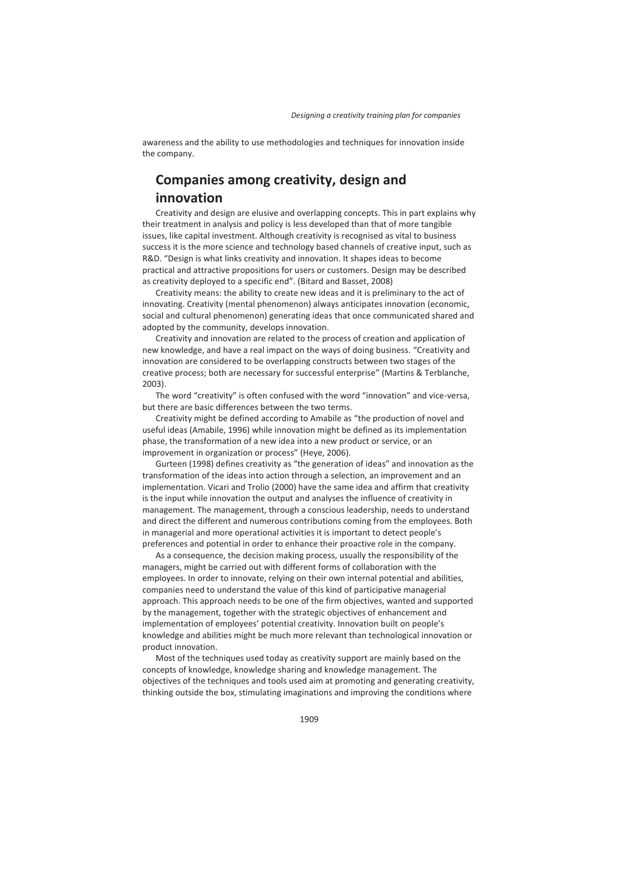awareness and the ability to use methodologies and techniques for innovation inside the company.

## **Companies among creativity, design and innovation**

Creativity and design are elusive and overlapping concepts. This in part explains why their treatment in analysis and policy is less developed than that of more tangible issues, like capital investment. Although creativity is recognised as vital to business success it is the more science and technology based channels of creative input, such as R&D. "Design is what links creativity and innovation. It shapes ideas to become practical and attractive propositions for users or customers. Design may be described as creativity deployed to a specific end". (Bitard and Basset, 2008)

Creativity means: the ability to create new ideas and it is preliminary to the act of innovating. Creativity (mental phenomenon) always anticipates innovation (economic, social and cultural phenomenon) generating ideas that once communicated shared and adopted by the community, develops innovation.

Creativity and innovation are related to the process of creation and application of new knowledge, and have a real impact on the ways of doing business. "Creativity and innovation are considered to be overlapping constructs between two stages of the creative process; both are necessary for successful enterprise" (Martins & Terblanche, 2003).

The word "creativity" is often confused with the word "innovation" and vice-versa, but there are basic differences between the two terms.

Creativity might be defined according to Amabile as "the production of novel and useful ideas (Amabile, 1996) while innovation might be defined as its implementation phase, the transformation of a new idea into a new product or service, or an improvement in organization or process" (Heye, 2006).

Gurteen (1998) defines creativity as "the generation of ideas" and innovation as the transformation of the ideas into action through a selection, an improvement and an implementation. Vicari and Trolio (2000) have the same idea and affirm that creativity is the input while innovation the output and analyses the influence of creativity in management. The management, through a conscious leadership, needs to understand and direct the different and numerous contributions coming from the employees. Both in managerial and more operational activities it is important to detect people's preferences and potential in order to enhance their proactive role in the company.

As a consequence, the decision making process, usually the responsibility of the managers, might be carried out with different forms of collaboration with the employees. In order to innovate, relying on their own internal potential and abilities, companies need to understand the value of this kind of participative managerial approach. This approach needs to be one of the firm objectives, wanted and supported by the management, together with the strategic objectives of enhancement and implementation of employees' potential creativity. Innovation built on people's knowledge and abilities might be much more relevant than technological innovation or product innovation.

Most of the techniques used today as creativity support are mainly based on the concepts of knowledge, knowledge sharing and knowledge management. The objectives of the techniques and tools used aim at promoting and generating creativity, thinking outside the box, stimulating imaginations and improving the conditions where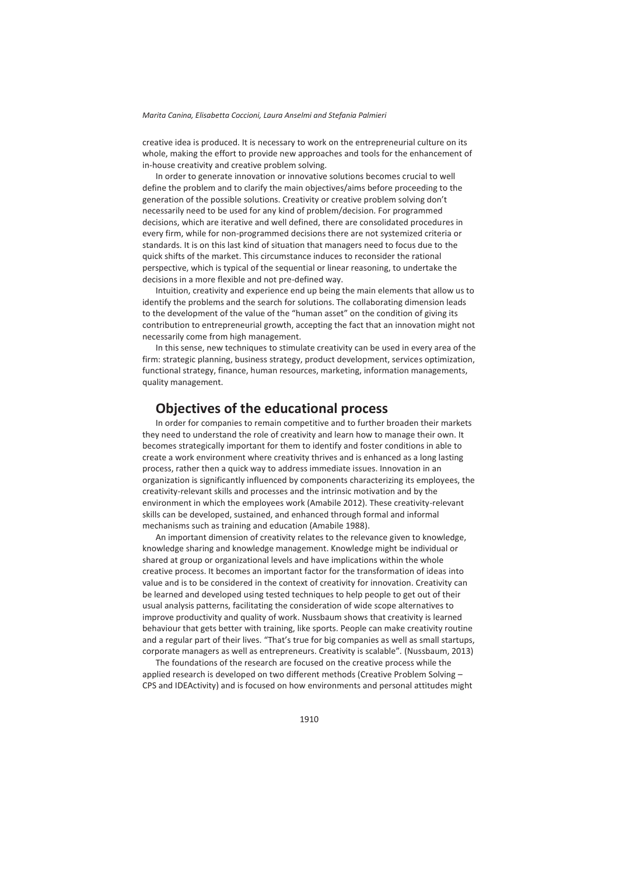creative idea is produced. It is necessary to work on the entrepreneurial culture on its whole, making the effort to provide new approaches and tools for the enhancement of in-house creativity and creative problem solving.

In order to generate innovation or innovative solutions becomes crucial to well define the problem and to clarify the main objectives/aims before proceeding to the generation of the possible solutions. Creativity or creative problem solving don't necessarily need to be used for any kind of problem/decision. For programmed decisions, which are iterative and well defined, there are consolidated procedures in every firm, while for non-programmed decisions there are not systemized criteria or standards. It is on this last kind of situation that managers need to focus due to the quick shifts of the market. This circumstance induces to reconsider the rational perspective, which is typical of the sequential or linear reasoning, to undertake the decisions in a more flexible and not pre-defined way.

Intuition, creativity and experience end up being the main elements that allow us to identify the problems and the search for solutions. The collaborating dimension leads to the development of the value of the "human asset" on the condition of giving its contribution to entrepreneurial growth, accepting the fact that an innovation might not necessarily come from high management.

In this sense, new techniques to stimulate creativity can be used in every area of the firm: strategic planning, business strategy, product development, services optimization, functional strategy, finance, human resources, marketing, information managements, quality management.

## **Objectives of the educational process**

In order for companies to remain competitive and to further broaden their markets they need to understand the role of creativity and learn how to manage their own. It becomes strategically important for them to identify and foster conditions in able to create a work environment where creativity thrives and is enhanced as a long lasting process, rather then a quick way to address immediate issues. Innovation in an organization is significantly influenced by components characterizing its employees, the creativity-relevant skills and processes and the intrinsic motivation and by the environment in which the employees work (Amabile 2012). These creativity-relevant skills can be developed, sustained, and enhanced through formal and informal mechanisms such as training and education (Amabile 1988).

An important dimension of creativity relates to the relevance given to knowledge, knowledge sharing and knowledge management. Knowledge might be individual or shared at group or organizational levels and have implications within the whole creative process. It becomes an important factor for the transformation of ideas into value and is to be considered in the context of creativity for innovation. Creativity can be learned and developed using tested techniques to help people to get out of their usual analysis patterns, facilitating the consideration of wide scope alternatives to improve productivity and quality of work. Nussbaum shows that creativity is learned behaviour that gets better with training, like sports. People can make creativity routine and a regular part of their lives. "That's true for big companies as well as small startups, corporate managers as well as entrepreneurs. Creativity is scalable"*.* (Nussbaum, 2013)

The foundations of the research are focused on the creative process while the applied research is developed on two different methods (Creative Problem Solving – CPS and IDEActivity) and is focused on how environments and personal attitudes might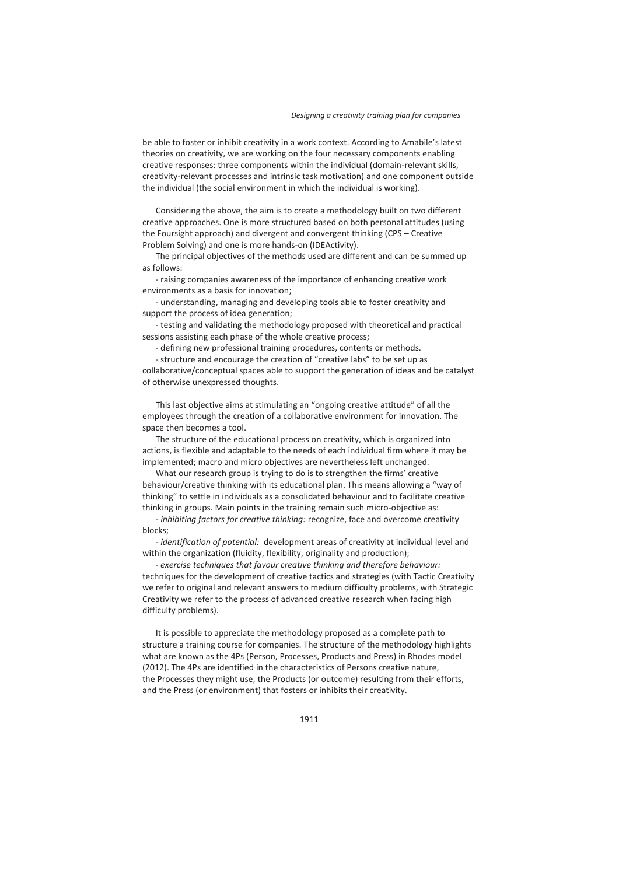be able to foster or inhibit creativity in a work context. According to Amabile's latest theories on creativity, we are working on the four necessary components enabling creative responses: three components within the individual (domain-relevant skills, creativity-relevant processes and intrinsic task motivation) and one component outside the individual (the social environment in which the individual is working).

Considering the above, the aim is to create a methodology built on two different creative approaches. One is more structured based on both personal attitudes (using the Foursight approach) and divergent and convergent thinking (CPS – Creative Problem Solving) and one is more hands-on (IDEActivity).

The principal objectives of the methods used are different and can be summed up as follows:

- raising companies awareness of the importance of enhancing creative work environments as a basis for innovation;

- understanding, managing and developing tools able to foster creativity and support the process of idea generation;

- testing and validating the methodology proposed with theoretical and practical sessions assisting each phase of the whole creative process;

- defining new professional training procedures, contents or methods.

- structure and encourage the creation of "creative labs" to be set up as collaborative/conceptual spaces able to support the generation of ideas and be catalyst of otherwise unexpressed thoughts.

This last objective aims at stimulating an "ongoing creative attitude" of all the employees through the creation of a collaborative environment for innovation. The space then becomes a tool.

The structure of the educational process on creativity, which is organized into actions, is flexible and adaptable to the needs of each individual firm where it may be implemented; macro and micro objectives are nevertheless left unchanged.

What our research group is trying to do is to strengthen the firms' creative behaviour/creative thinking with its educational plan. This means allowing a "way of thinking" to settle in individuals as a consolidated behaviour and to facilitate creative thinking in groups. Main points in the training remain such micro-objective as:

*- inhibiting factors for creative thinking:* recognize, face and overcome creativity blocks;

*- identification of potential:* development areas of creativity at individual level and within the organization (fluidity, flexibility, originality and production);

*- exercise techniques that favour creative thinking and therefore behaviour:*  techniques for the development of creative tactics and strategies (with Tactic Creativity we refer to original and relevant answers to medium difficulty problems, with Strategic Creativity we refer to the process of advanced creative research when facing high difficulty problems).

It is possible to appreciate the methodology proposed as a complete path to structure a training course for companies. The structure of the methodology highlights what are known as the 4Ps (Person, Processes, Products and Press) in Rhodes model (2012). The 4Ps are identified in the characteristics of Persons creative nature, the Processes they might use, the Products (or outcome) resulting from their efforts, and the Press (or environment) that fosters or inhibits their creativity.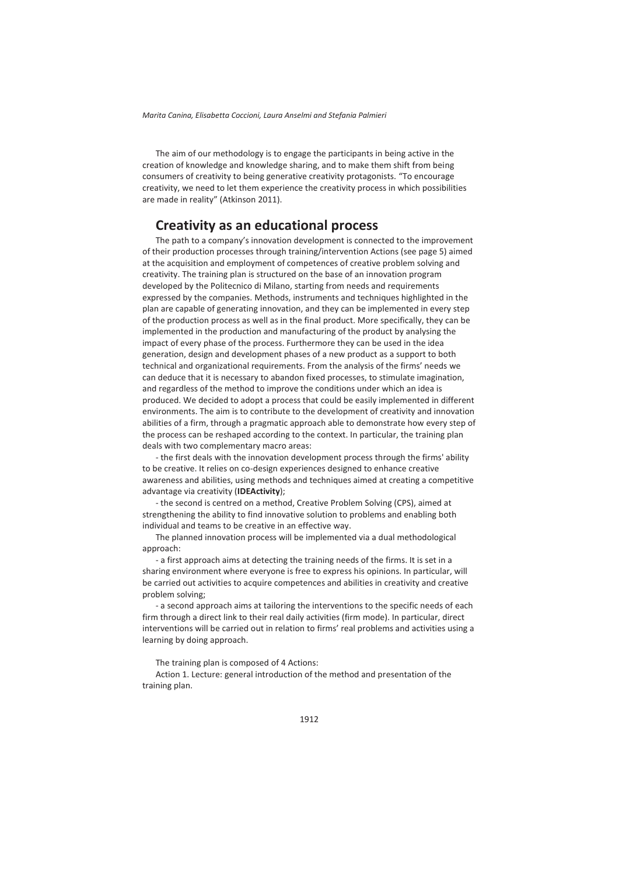The aim of our methodology is to engage the participants in being active in the creation of knowledge and knowledge sharing, and to make them shift from being consumers of creativity to being generative creativity protagonists. "To encourage creativity, we need to let them experience the creativity process in which possibilities are made in reality" (Atkinson 2011).

### **Creativity as an educational process**

The path to a company's innovation development is connected to the improvement of their production processes through training/intervention Actions (see page 5) aimed at the acquisition and employment of competences of creative problem solving and creativity. The training plan is structured on the base of an innovation program developed by the Politecnico di Milano, starting from needs and requirements expressed by the companies. Methods, instruments and techniques highlighted in the plan are capable of generating innovation, and they can be implemented in every step of the production process as well as in the final product. More specifically, they can be implemented in the production and manufacturing of the product by analysing the impact of every phase of the process. Furthermore they can be used in the idea generation, design and development phases of a new product as a support to both technical and organizational requirements. From the analysis of the firms' needs we can deduce that it is necessary to abandon fixed processes, to stimulate imagination, and regardless of the method to improve the conditions under which an idea is produced. We decided to adopt a process that could be easily implemented in different environments. The aim is to contribute to the development of creativity and innovation abilities of a firm, through a pragmatic approach able to demonstrate how every step of the process can be reshaped according to the context. In particular, the training plan deals with two complementary macro areas:

- the first deals with the innovation development process through the firms' ability to be creative. It relies on co-design experiences designed to enhance creative awareness and abilities, using methods and techniques aimed at creating a competitive advantage via creativity (**IDEActivity**);

- the second is centred on a method, Creative Problem Solving (CPS), aimed at strengthening the ability to find innovative solution to problems and enabling both individual and teams to be creative in an effective way.

The planned innovation process will be implemented via a dual methodological approach:

- a first approach aims at detecting the training needs of the firms. It is set in a sharing environment where everyone is free to express his opinions. In particular, will be carried out activities to acquire competences and abilities in creativity and creative problem solving;

- a second approach aims at tailoring the interventions to the specific needs of each firm through a direct link to their real daily activities (firm mode). In particular, direct interventions will be carried out in relation to firms' real problems and activities using a learning by doing approach.

The training plan is composed of 4 Actions:

Action 1. Lecture: general introduction of the method and presentation of the training plan.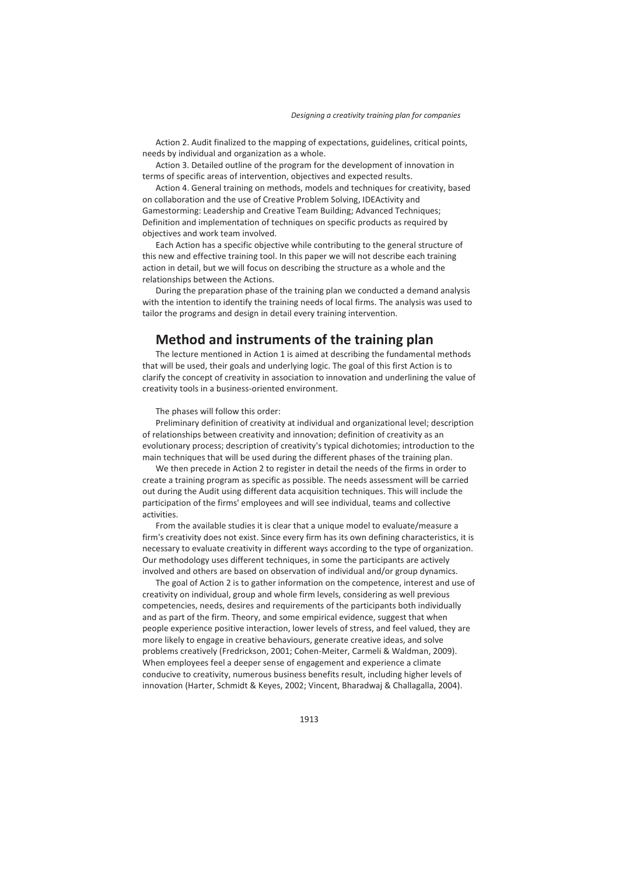Action 2. Audit finalized to the mapping of expectations, guidelines, critical points, needs by individual and organization as a whole.

Action 3. Detailed outline of the program for the development of innovation in terms of specific areas of intervention, objectives and expected results.

Action 4. General training on methods, models and techniques for creativity, based on collaboration and the use of Creative Problem Solving, IDEActivity and Gamestorming: Leadership and Creative Team Building; Advanced Techniques; Definition and implementation of techniques on specific products as required by objectives and work team involved.

Each Action has a specific objective while contributing to the general structure of this new and effective training tool. In this paper we will not describe each training action in detail, but we will focus on describing the structure as a whole and the relationships between the Actions.

During the preparation phase of the training plan we conducted a demand analysis with the intention to identify the training needs of local firms. The analysis was used to tailor the programs and design in detail every training intervention.

## **Method and instruments of the training plan**

The lecture mentioned in Action 1 is aimed at describing the fundamental methods that will be used, their goals and underlying logic. The goal of this first Action is to clarify the concept of creativity in association to innovation and underlining the value of creativity tools in a business-oriented environment.

The phases will follow this order:

Preliminary definition of creativity at individual and organizational level; description of relationships between creativity and innovation; definition of creativity as an evolutionary process; description of creativity's typical dichotomies; introduction to the main techniques that will be used during the different phases of the training plan.

We then precede in Action 2 to register in detail the needs of the firms in order to create a training program as specific as possible. The needs assessment will be carried out during the Audit using different data acquisition techniques. This will include the participation of the firms' employees and will see individual, teams and collective activities.

From the available studies it is clear that a unique model to evaluate/measure a firm's creativity does not exist. Since every firm has its own defining characteristics, it is necessary to evaluate creativity in different ways according to the type of organization. Our methodology uses different techniques, in some the participants are actively involved and others are based on observation of individual and/or group dynamics.

The goal of Action 2 is to gather information on the competence, interest and use of creativity on individual, group and whole firm levels, considering as well previous competencies, needs, desires and requirements of the participants both individually and as part of the firm. Theory, and some empirical evidence, suggest that when people experience positive interaction, lower levels of stress, and feel valued, they are more likely to engage in creative behaviours, generate creative ideas, and solve problems creatively (Fredrickson, 2001; Cohen-Meiter, Carmeli & Waldman, 2009). When employees feel a deeper sense of engagement and experience a climate conducive to creativity, numerous business benefits result, including higher levels of innovation (Harter, Schmidt & Keyes, 2002; Vincent, Bharadwaj & Challagalla, 2004).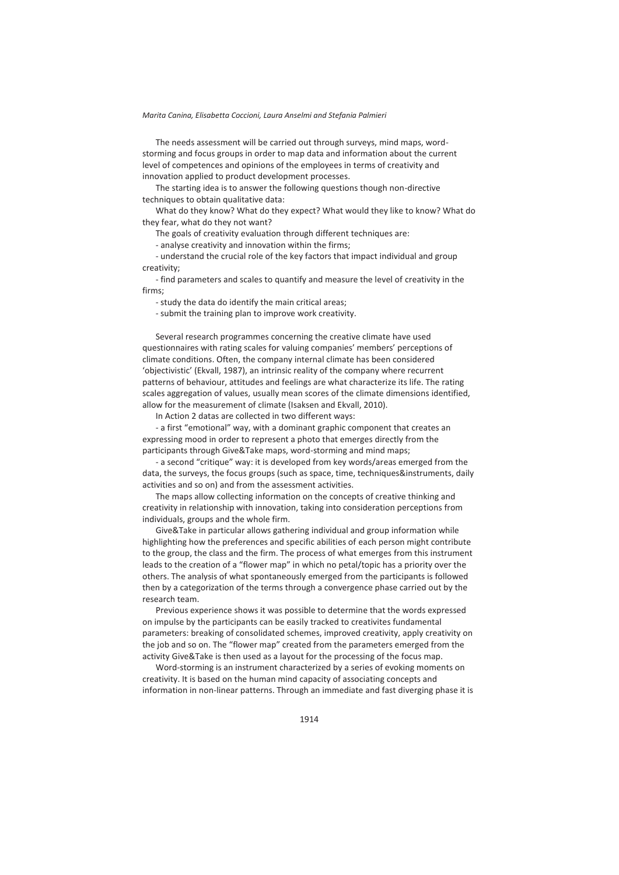The needs assessment will be carried out through surveys, mind maps, wordstorming and focus groups in order to map data and information about the current level of competences and opinions of the employees in terms of creativity and innovation applied to product development processes.

The starting idea is to answer the following questions though non-directive techniques to obtain qualitative data:

What do they know? What do they expect? What would they like to know? What do they fear, what do they not want?

The goals of creativity evaluation through different techniques are:

- analyse creativity and innovation within the firms;

- understand the crucial role of the key factors that impact individual and group creativity;

- find parameters and scales to quantify and measure the level of creativity in the firms;

- study the data do identify the main critical areas;

- submit the training plan to improve work creativity.

Several research programmes concerning the creative climate have used questionnaires with rating scales for valuing companies' members' perceptions of climate conditions. Often, the company internal climate has been considered 'objectivistic' (Ekvall, 1987), an intrinsic reality of the company where recurrent patterns of behaviour, attitudes and feelings are what characterize its life. The rating scales aggregation of values, usually mean scores of the climate dimensions identified, allow for the measurement of climate (Isaksen and Ekvall, 2010).

In Action 2 datas are collected in two different ways:

- a first "emotional" way, with a dominant graphic component that creates an expressing mood in order to represent a photo that emerges directly from the participants through Give&Take maps, word-storming and mind maps;

- a second "critique" way: it is developed from key words/areas emerged from the data, the surveys, the focus groups (such as space, time, techniques&instruments, daily activities and so on) and from the assessment activities.

The maps allow collecting information on the concepts of creative thinking and creativity in relationship with innovation, taking into consideration perceptions from individuals, groups and the whole firm.

Give&Take in particular allows gathering individual and group information while highlighting how the preferences and specific abilities of each person might contribute to the group, the class and the firm. The process of what emerges from this instrument leads to the creation of a "flower map" in which no petal/topic has a priority over the others. The analysis of what spontaneously emerged from the participants is followed then by a categorization of the terms through a convergence phase carried out by the research team.

Previous experience shows it was possible to determine that the words expressed on impulse by the participants can be easily tracked to creativites fundamental parameters: breaking of consolidated schemes, improved creativity, apply creativity on the job and so on. The "flower map" created from the parameters emerged from the activity Give&Take is then used as a layout for the processing of the focus map.

Word-storming is an instrument characterized by a series of evoking moments on creativity. It is based on the human mind capacity of associating concepts and information in non-linear patterns. Through an immediate and fast diverging phase it is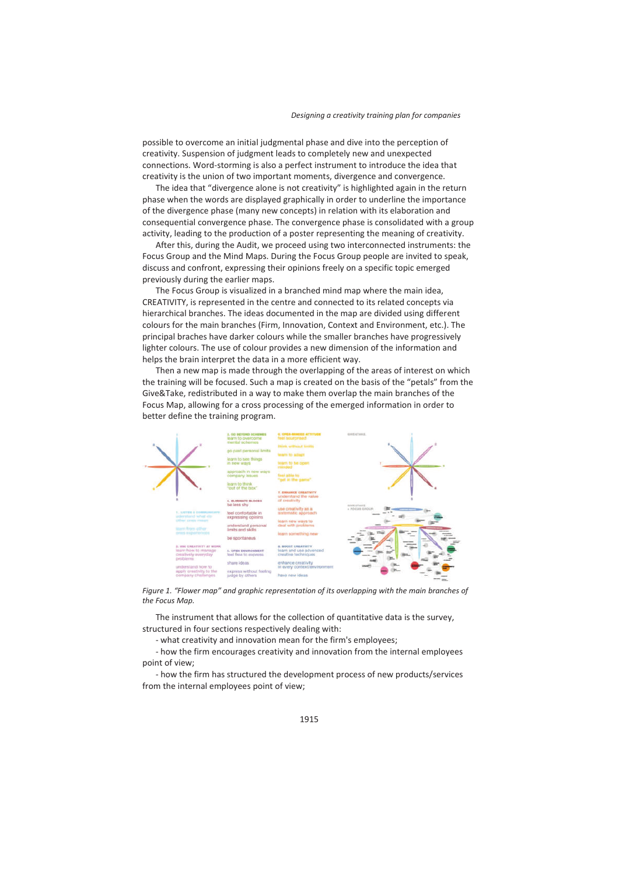possible to overcome an initial judgmental phase and dive into the perception of creativity. Suspension of judgment leads to completely new and unexpected connections. Word-storming is also a perfect instrument to introduce the idea that creativity is the union of two important moments, divergence and convergence.

The idea that "divergence alone is not creativity" is highlighted again in the return phase when the words are displayed graphically in order to underline the importance of the divergence phase (many new concepts) in relation with its elaboration and consequential convergence phase. The convergence phase is consolidated with a group activity, leading to the production of a poster representing the meaning of creativity.

After this, during the Audit, we proceed using two interconnected instruments: the Focus Group and the Mind Maps. During the Focus Group people are invited to speak, discuss and confront, expressing their opinions freely on a specific topic emerged previously during the earlier maps.

The Focus Group is visualized in a branched mind map where the main idea, CREATIVITY, is represented in the centre and connected to its related concepts via hierarchical branches. The ideas documented in the map are divided using different colours for the main branches (Firm, Innovation, Context and Environment, etc.). The principal braches have darker colours while the smaller branches have progressively lighter colours. The use of colour provides a new dimension of the information and helps the brain interpret the data in a more efficient way.

Then a new map is made through the overlapping of the areas of interest on which the training will be focused. Such a map is created on the basis of the "petals" from the Give&Take, redistributed in a way to make them overlap the main branches of the Focus Map, allowing for a cross processing of the emerged information in order to better define the training program.



*Figure 1. "Flower map" and graphic representation of its overlapping with the main branches of the Focus Map.* 

The instrument that allows for the collection of quantitative data is the survey, structured in four sections respectively dealing with:

- what creativity and innovation mean for the firm's employees;

- how the firm encourages creativity and innovation from the internal employees point of view;

- how the firm has structured the development process of new products/services from the internal employees point of view;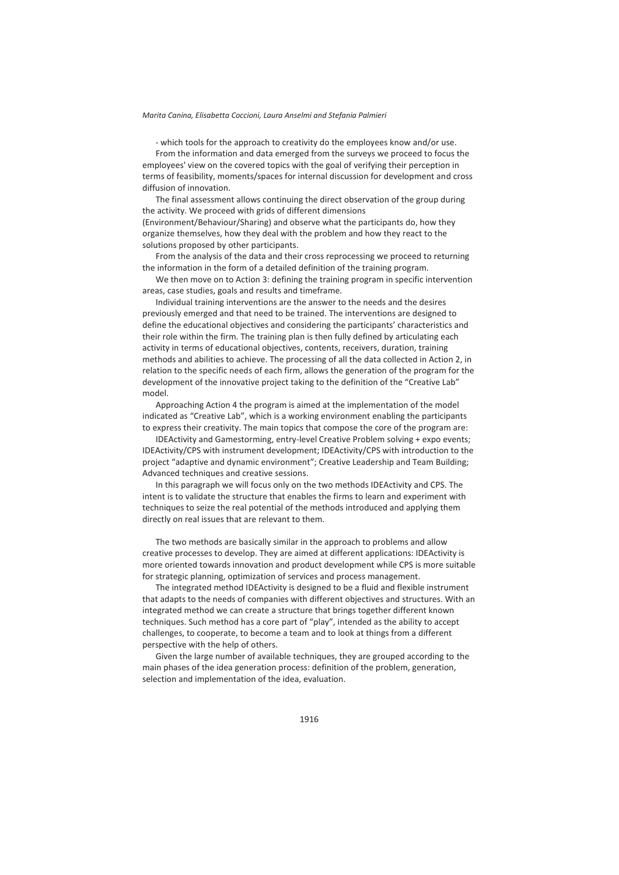- which tools for the approach to creativity do the employees know and/or use.

From the information and data emerged from the surveys we proceed to focus the employees' view on the covered topics with the goal of verifying their perception in terms of feasibility, moments/spaces for internal discussion for development and cross diffusion of innovation.

The final assessment allows continuing the direct observation of the group during the activity. We proceed with grids of different dimensions (Environment/Behaviour/Sharing) and observe what the participants do, how they organize themselves, how they deal with the problem and how they react to the solutions proposed by other participants.

From the analysis of the data and their cross reprocessing we proceed to returning the information in the form of a detailed definition of the training program.

We then move on to Action 3: defining the training program in specific intervention areas, case studies, goals and results and timeframe.

Individual training interventions are the answer to the needs and the desires previously emerged and that need to be trained. The interventions are designed to define the educational objectives and considering the participants' characteristics and their role within the firm. The training plan is then fully defined by articulating each activity in terms of educational objectives, contents, receivers, duration, training methods and abilities to achieve. The processing of all the data collected in Action 2, in relation to the specific needs of each firm, allows the generation of the program for the development of the innovative project taking to the definition of the "Creative Lab" model.

Approaching Action 4 the program is aimed at the implementation of the model indicated as "Creative Lab", which is a working environment enabling the participants to express their creativity. The main topics that compose the core of the program are:

IDEActivity and Gamestorming, entry-level Creative Problem solving + expo events; IDEActivity/CPS with instrument development; IDEActivity/CPS with introduction to the project "adaptive and dynamic environment"; Creative Leadership and Team Building; Advanced techniques and creative sessions.

In this paragraph we will focus only on the two methods IDEActivity and CPS. The intent is to validate the structure that enables the firms to learn and experiment with techniques to seize the real potential of the methods introduced and applying them directly on real issues that are relevant to them.

The two methods are basically similar in the approach to problems and allow creative processes to develop. They are aimed at different applications: IDEActivity is more oriented towards innovation and product development while CPS is more suitable for strategic planning, optimization of services and process management.

The integrated method IDEActivity is designed to be a fluid and flexible instrument that adapts to the needs of companies with different objectives and structures. With an integrated method we can create a structure that brings together different known techniques. Such method has a core part of "play", intended as the ability to accept challenges, to cooperate, to become a team and to look at things from a different perspective with the help of others.

Given the large number of available techniques, they are grouped according to the main phases of the idea generation process: definition of the problem, generation, selection and implementation of the idea, evaluation.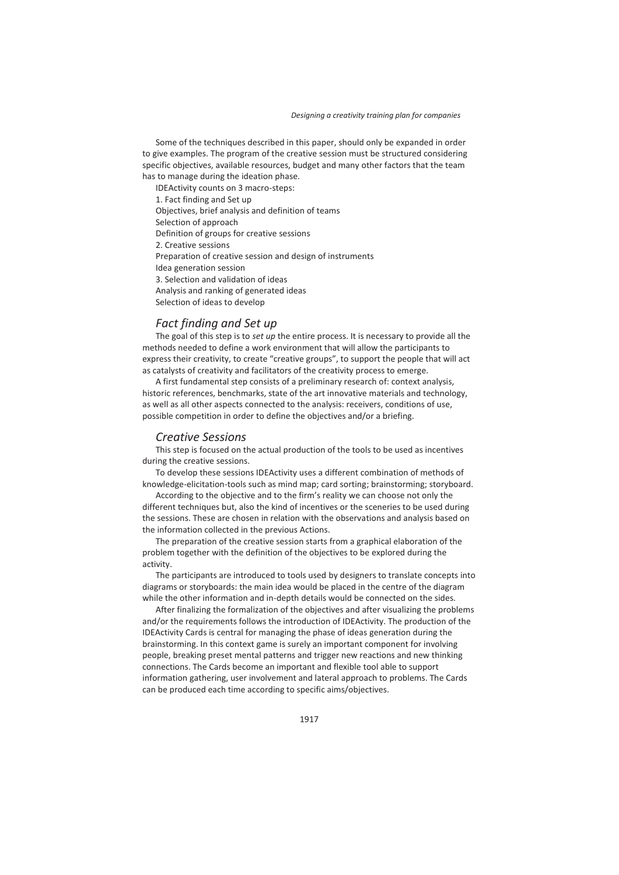Some of the techniques described in this paper, should only be expanded in order to give examples. The program of the creative session must be structured considering specific objectives, available resources, budget and many other factors that the team has to manage during the ideation phase.

IDEActivity counts on 3 macro-steps: 1. Fact finding and Set up Objectives, brief analysis and definition of teams Selection of approach Definition of groups for creative sessions 2. Creative sessions Preparation of creative session and design of instruments Idea generation session 3. Selection and validation of ideas Analysis and ranking of generated ideas Selection of ideas to develop

### *Fact finding and Set up*

The goal of this step is to *set up* the entire process. It is necessary to provide all the methods needed to define a work environment that will allow the participants to express their creativity, to create "creative groups", to support the people that will act as catalysts of creativity and facilitators of the creativity process to emerge.

A first fundamental step consists of a preliminary research of: context analysis, historic references, benchmarks, state of the art innovative materials and technology, as well as all other aspects connected to the analysis: receivers, conditions of use, possible competition in order to define the objectives and/or a briefing.

### *Creative Sessions*

This step is focused on the actual production of the tools to be used as incentives during the creative sessions.

To develop these sessions IDEActivity uses a different combination of methods of knowledge-elicitation-tools such as mind map; card sorting; brainstorming; storyboard.

According to the objective and to the firm's reality we can choose not only the different techniques but, also the kind of incentives or the sceneries to be used during the sessions. These are chosen in relation with the observations and analysis based on the information collected in the previous Actions.

The preparation of the creative session starts from a graphical elaboration of the problem together with the definition of the objectives to be explored during the activity.

The participants are introduced to tools used by designers to translate concepts into diagrams or storyboards: the main idea would be placed in the centre of the diagram while the other information and in-depth details would be connected on the sides.

After finalizing the formalization of the objectives and after visualizing the problems and/or the requirements follows the introduction of IDEActivity. The production of the IDEActivity Cards is central for managing the phase of ideas generation during the brainstorming. In this context game is surely an important component for involving people, breaking preset mental patterns and trigger new reactions and new thinking connections. The Cards become an important and flexible tool able to support information gathering, user involvement and lateral approach to problems. The Cards can be produced each time according to specific aims/objectives.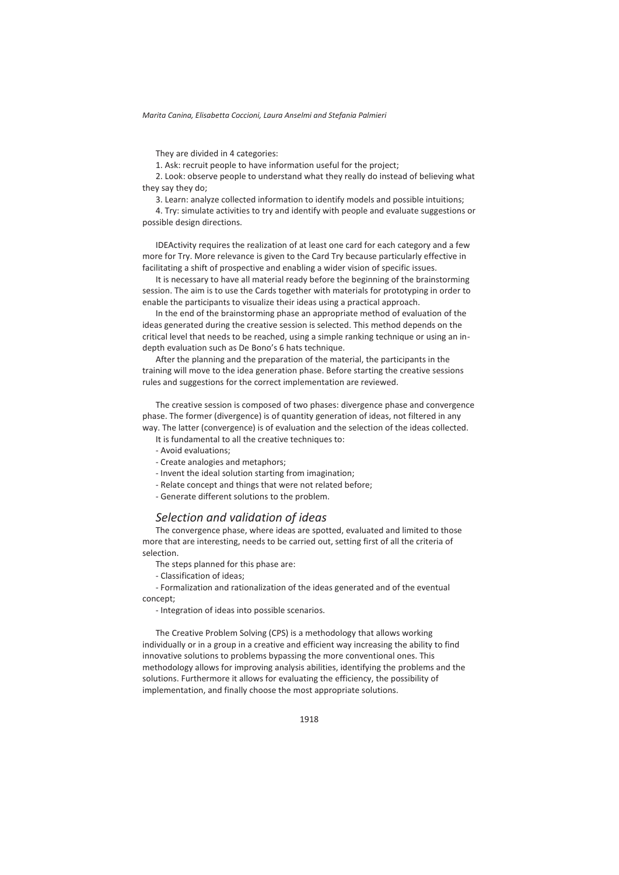They are divided in 4 categories:

1. Ask: recruit people to have information useful for the project;

2. Look: observe people to understand what they really do instead of believing what they say they do;

3. Learn: analyze collected information to identify models and possible intuitions;

4. Try: simulate activities to try and identify with people and evaluate suggestions or possible design directions.

IDEActivity requires the realization of at least one card for each category and a few more for Try. More relevance is given to the Card Try because particularly effective in facilitating a shift of prospective and enabling a wider vision of specific issues.

It is necessary to have all material ready before the beginning of the brainstorming session. The aim is to use the Cards together with materials for prototyping in order to enable the participants to visualize their ideas using a practical approach.

In the end of the brainstorming phase an appropriate method of evaluation of the ideas generated during the creative session is selected. This method depends on the critical level that needs to be reached, using a simple ranking technique or using an indepth evaluation such as De Bono's 6 hats technique.

After the planning and the preparation of the material, the participants in the training will move to the idea generation phase. Before starting the creative sessions rules and suggestions for the correct implementation are reviewed.

The creative session is composed of two phases: divergence phase and convergence phase. The former (divergence) is of quantity generation of ideas, not filtered in any way. The latter (convergence) is of evaluation and the selection of the ideas collected.

It is fundamental to all the creative techniques to:

- Avoid evaluations;
- Create analogies and metaphors;
- Invent the ideal solution starting from imagination;
- Relate concept and things that were not related before;
- Generate different solutions to the problem.

### *Selection and validation of ideas*

The convergence phase, where ideas are spotted, evaluated and limited to those more that are interesting, needs to be carried out, setting first of all the criteria of selection.

The steps planned for this phase are:

- Classification of ideas;

- Formalization and rationalization of the ideas generated and of the eventual concept;

- Integration of ideas into possible scenarios.

The Creative Problem Solving (CPS) is a methodology that allows working individually or in a group in a creative and efficient way increasing the ability to find innovative solutions to problems bypassing the more conventional ones. This methodology allows for improving analysis abilities, identifying the problems and the solutions. Furthermore it allows for evaluating the efficiency, the possibility of implementation, and finally choose the most appropriate solutions.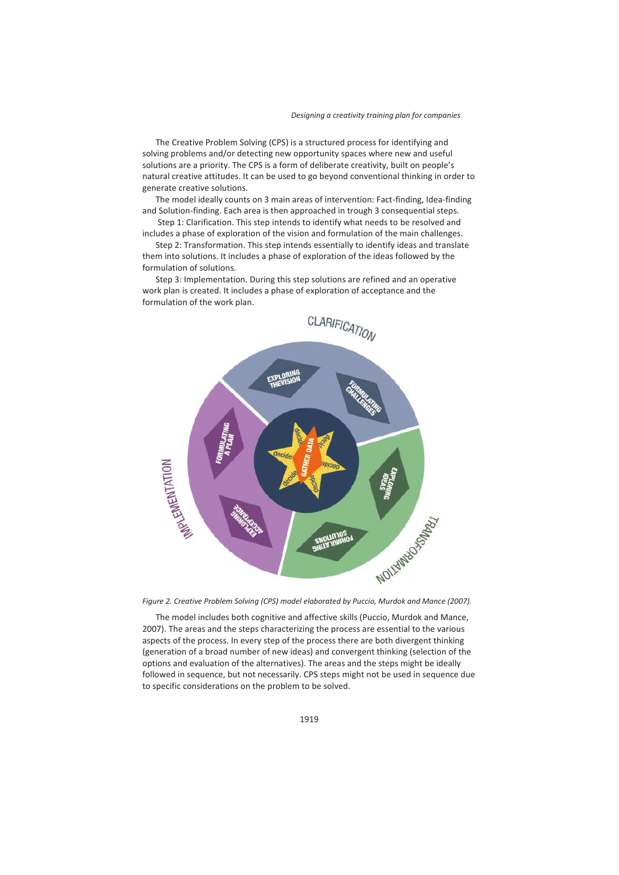The Creative Problem Solving (CPS) is a structured process for identifying and solving problems and/or detecting new opportunity spaces where new and useful solutions are a priority. The CPS is a form of deliberate creativity, built on people's natural creative attitudes. It can be used to go beyond conventional thinking in order to generate creative solutions.

The model ideally counts on 3 main areas of intervention: Fact-finding, Idea-finding and Solution-finding. Each area is then approached in trough 3 consequential steps.

 Step 1: Clarification. This step intends to identify what needs to be resolved and includes a phase of exploration of the vision and formulation of the main challenges.

Step 2: Transformation. This step intends essentially to identify ideas and translate them into solutions. It includes a phase of exploration of the ideas followed by the formulation of solutions.

Step 3: Implementation. During this step solutions are refined and an operative work plan is created. It includes a phase of exploration of acceptance and the formulation of the work plan.





The model includes both cognitive and affective skills (Puccio, Murdok and Mance, 2007). The areas and the steps characterizing the process are essential to the various aspects of the process. In every step of the process there are both divergent thinking (generation of a broad number of new ideas) and convergent thinking (selection of the options and evaluation of the alternatives). The areas and the steps might be ideally followed in sequence, but not necessarily. CPS steps might not be used in sequence due to specific considerations on the problem to be solved.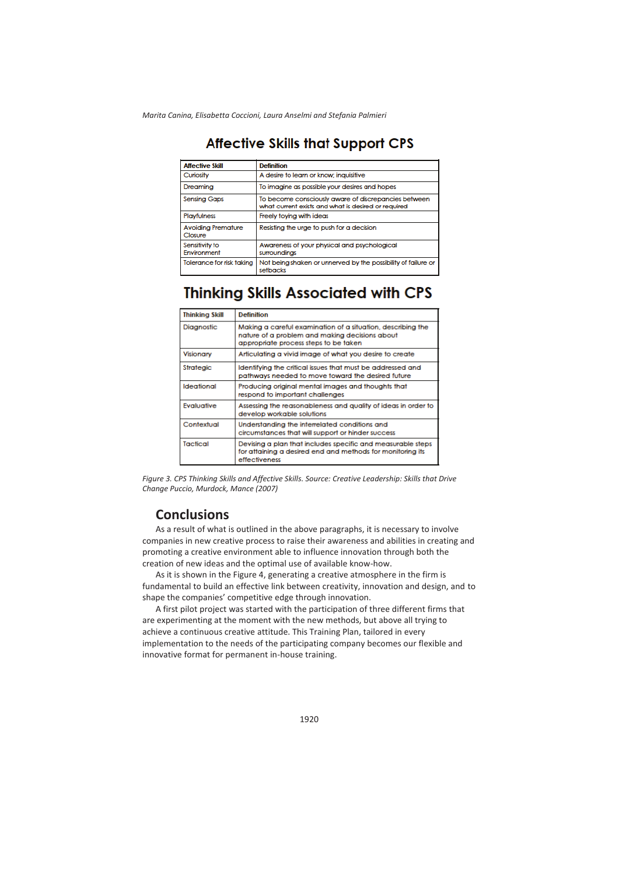## **Affective Skills that Support CPS**

| <b>Affective Skill</b>               | <b>Definition</b>                                                                                           |
|--------------------------------------|-------------------------------------------------------------------------------------------------------------|
| Curiosity                            | A desire to learn or know: inquisitive                                                                      |
| Dreaming                             | To imagine as possible your desires and hopes                                                               |
| <b>Sensing Gaps</b>                  | To become consciously aware of discrepancies between<br>what current exists and what is desired or required |
| <b>Playfulness</b>                   | Freely toving with ideas                                                                                    |
| <b>Avoiding Premature</b><br>Closure | Resisting the urge to push for a decision                                                                   |
| Sensitivity to<br>Environment        | Awareness of your physical and psychological<br>surroundings                                                |
| Tolerance for risk taking            | Not being shaken or unnerved by the possibility of failure or<br>setbacks                                   |

## **Thinking Skills Associated with CPS**

| <b>Thinking Skill</b> | <b>Definition</b>                                                                                                                                      |
|-----------------------|--------------------------------------------------------------------------------------------------------------------------------------------------------|
| Diagnostic            | Making a careful examination of a situation, describing the<br>nature of a problem and making decisions about<br>appropriate process steps to be taken |
| Visionary             | Articulating a vivid image of what you desire to create                                                                                                |
| <b>Strategic</b>      | Identifying the critical issues that must be addressed and<br>pathways needed to move toward the desired future                                        |
| Ideational            | Producing original mental images and thoughts that<br>respond to important challenges                                                                  |
| Evaluative            | Assessing the reasonableness and quality of ideas in order to<br>develop workable solutions                                                            |
| Contextual            | Understanding the interrelated conditions and<br>circumstances that will support or hinder success                                                     |
| Tactical              | Devising a plan that includes specific and measurable steps<br>for attaining a desired end and methods for monitoring its<br>effectiveness             |

*Figure 3. CPS Thinking Skills and Affective Skills. Source: Creative Leadership: Skills that Drive Change Puccio, Murdock, Mance (2007)* 

## **Conclusions**

As a result of what is outlined in the above paragraphs, it is necessary to involve companies in new creative process to raise their awareness and abilities in creating and promoting a creative environment able to influence innovation through both the creation of new ideas and the optimal use of available know-how.

As it is shown in the Figure 4, generating a creative atmosphere in the firm is fundamental to build an effective link between creativity, innovation and design, and to shape the companies' competitive edge through innovation.

A first pilot project was started with the participation of three different firms that are experimenting at the moment with the new methods, but above all trying to achieve a continuous creative attitude. This Training Plan, tailored in every implementation to the needs of the participating company becomes our flexible and innovative format for permanent in-house training.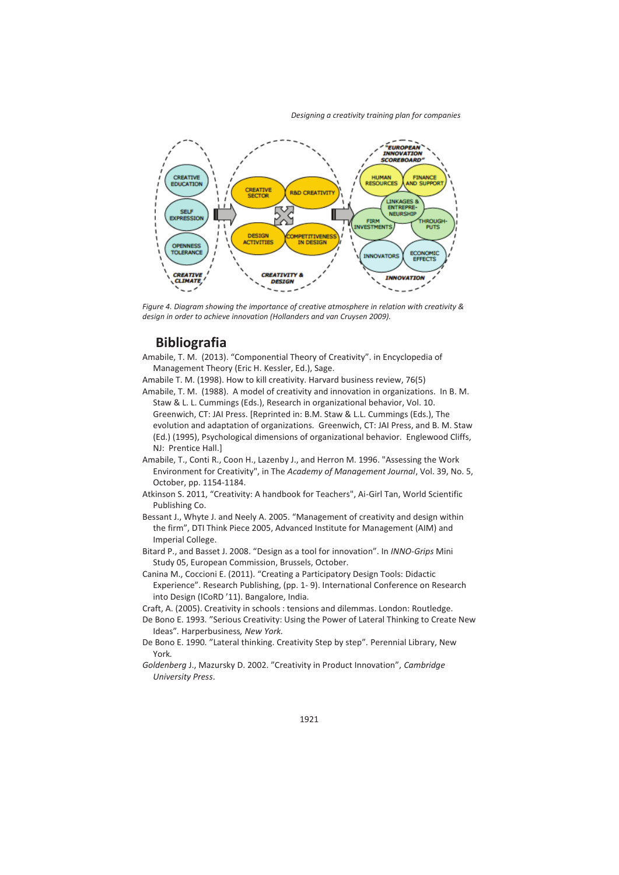*Designing a creativity training plan for companies*



*Figure 4. Diagram showing the importance of creative atmosphere in relation with creativity & design in order to achieve innovation (Hollanders and van Cruysen 2009).* 

## **Bibliografia**

Amabile, T. M. (2013). "Componential Theory of Creativity". in Encyclopedia of Management Theory (Eric H. Kessler, Ed.), Sage.

Amabile T. M. (1998). How to kill creativity. Harvard business review, 76(5)

Amabile, T. M. (1988). A model of creativity and innovation in organizations. In B. M. Staw & L. L. Cummings (Eds.), Research in organizational behavior, Vol. 10. Greenwich, CT: JAI Press. [Reprinted in: B.M. Staw & L.L. Cummings (Eds.), The evolution and adaptation of organizations. Greenwich, CT: JAI Press, and B. M. Staw (Ed.) (1995), Psychological dimensions of organizational behavior. Englewood Cliffs, NJ: Prentice Hall.]

Amabile, T., Conti R., Coon H., Lazenby J., and Herron M. 1996. "Assessing the Work Environment for Creativity", in The *Academy of Management Journal*, Vol. 39, No. 5, October, pp. 1154-1184.

Atkinson S. 2011, "Creativity: A handbook for Teachers", Ai-Girl Tan, World Scientific Publishing Co.

Bessant J., Whyte J. and Neely A. 2005. "Management of creativity and design within the firm", DTI Think Piece 2005, Advanced Institute for Management (AIM) and Imperial College.

Bitard P., and Basset J. 2008. "Design as a tool for innovation". In *INNO-Grips* Mini Study 05, European Commission, Brussels, October.

Canina M., Coccioni E. (2011). "Creating a Participatory Design Tools: Didactic Experience". Research Publishing, (pp. 1- 9). International Conference on Research into Design (ICoRD '11). Bangalore, India.

Craft, A. (2005). Creativity in schools : tensions and dilemmas. London: Routledge.

De Bono E. 1993*.* "Serious Creativity: Using the Power of Lateral Thinking to Create New Ideas"*.* Harperbusiness*, New York.*

De Bono E. 1990*.* "Lateral thinking. Creativity Step by step"*.* Perennial Library, New York*.*

*Goldenberg* J., Mazursky D. 2002. "Creativity in Product Innovation", *Cambridge University Press*.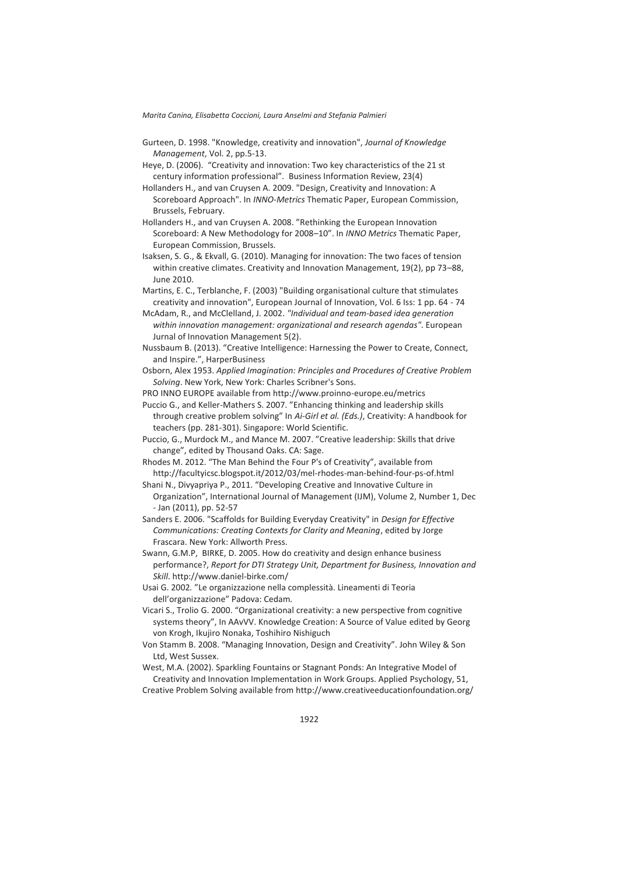- Gurteen, D. 1998. "Knowledge, creativity and innovation", *Journal of Knowledge Management*, Vol. 2, pp.5-13.
- Heye, D. (2006). "Creativity and innovation: Two key characteristics of the 21 st century information professional". Business Information Review, 23(4)
- Hollanders H., and van Cruysen A. 2009. "Design, Creativity and Innovation: A Scoreboard Approach". In *INNO-Metrics* Thematic Paper, European Commission, Brussels, February.
- Hollanders H., and van Cruysen A. 2008. "Rethinking the European Innovation Scoreboard: A New Methodology for 2008–10". In *INNO Metrics* Thematic Paper, European Commission, Brussels.
- Isaksen, S. G., & Ekvall, G. (2010). Managing for innovation: The two faces of tension within creative climates. Creativity and Innovation Management, 19(2), pp 73–88, June 2010.
- Martins, E. C., Terblanche, F. (2003) "Building organisational culture that stimulates creativity and innovation", European Journal of Innovation, Vol. 6 Iss: 1 pp. 64 - 74
- McAdam, R., and McClelland, J. 2002. *"Individual and team-based idea generation within innovation management: organizational and research agendas"*. European Jurnal of Innovation Management 5(2).
- Nussbaum B. (2013). "Creative Intelligence: Harnessing the Power to Create, Connect, and Inspire.", HarperBusiness
- Osborn, Alex 1953. *Applied Imagination: Principles and Procedures of Creative Problem Solving*. New York, New York: Charles Scribner's Sons.
- PRO INNO EUROPE available from http://www.proinno-europe.eu/metrics

Puccio G., and Keller-Mathers S. 2007. "Enhancing thinking and leadership skills through creative problem solving" In *Ai-Girl et al. (Eds.)*, Creativity: A handbook for teachers (pp. 281-301). Singapore: World Scientific.

- Puccio, G., Murdock M., and Mance M. 2007. "Creative leadership: Skills that drive change", edited by Thousand Oaks. CA: Sage.
- Rhodes M. 2012. "The Man Behind the Four P's of Creativity", available from http://facultyicsc.blogspot.it/2012/03/mel-rhodes-man-behind-four-ps-of.html
- Shani N., Divyapriya P., 2011. "Developing Creative and Innovative Culture in Organization", International Journal of Management (IJM), Volume 2, Number 1, Dec - Jan (2011), pp. 52-57
- Sanders E. 2006. "Scaffolds for Building Everyday Creativity" in *Design for Effective Communications: Creating Contexts for Clarity and Meaning*, edited by Jorge Frascara. New York: Allworth Press.
- Swann, G.M.P, BIRKE, D. 2005. How do creativity and design enhance business performance?, *Report for DTI Strategy Unit, Department for Business, Innovation and Skill*. http://www.daniel-birke.com/
- Usai G. 2002*.* "Le organizzazione nella complessità. Lineamenti di Teoria dell'organizzazione" Padova: Cedam*.*
- Vicari S., Trolio G. 2000. "Organizational creativity: a new perspective from cognitive systems theory", In AAvVV. Knowledge Creation: A Source of Value edited by Georg von Krogh, Ikujiro Nonaka, Toshihiro Nishiguch
- Von Stamm B. 2008. "Managing Innovation, Design and Creativity". John Wiley & Son Ltd, West Sussex.

West, M.A. (2002). Sparkling Fountains or Stagnant Ponds: An Integrative Model of Creativity and Innovation Implementation in Work Groups. Applied Psychology, 51,

Creative Problem Solving available from http://www.creativeeducationfoundation.org/